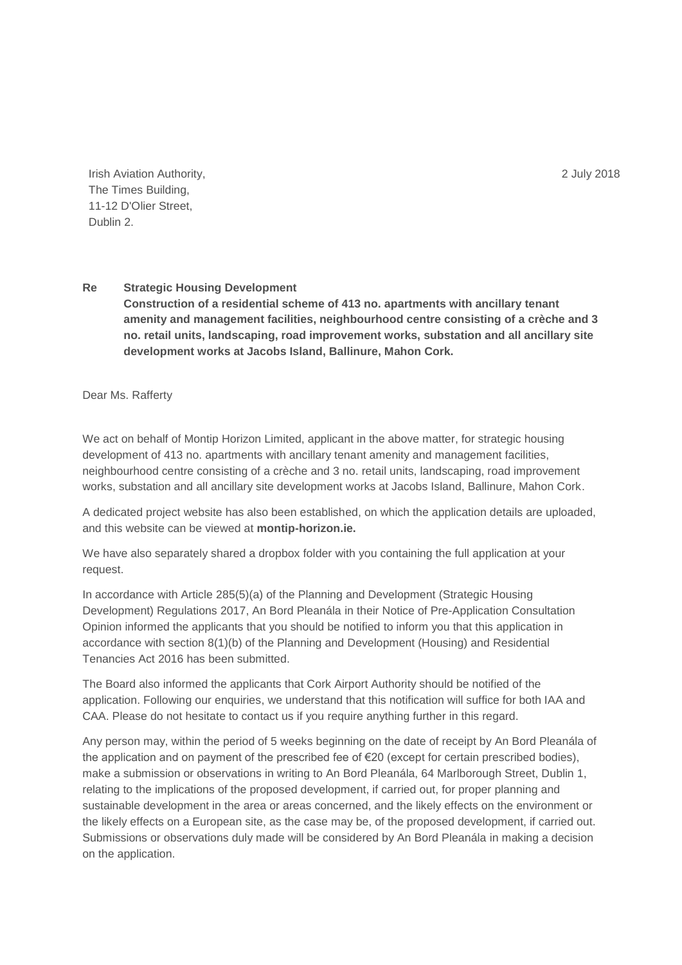2 July 2018

Irish Aviation Authority, The Times Building, 11-12 D'Olier Street, Dublin 2.

## **Re Strategic Housing Development Construction of a residential scheme of 413 no. apartments with ancillary tenant amenity and management facilities, neighbourhood centre consisting of a crèche and 3 no. retail units, landscaping, road improvement works, substation and all ancillary site development works at Jacobs Island, Ballinure, Mahon Cork.**

Dear Ms. Rafferty

We act on behalf of Montip Horizon Limited, applicant in the above matter, for strategic housing development of 413 no. apartments with ancillary tenant amenity and management facilities, neighbourhood centre consisting of a crèche and 3 no. retail units, landscaping, road improvement works, substation and all ancillary site development works at Jacobs Island, Ballinure, Mahon Cork.

A dedicated project website has also been established, on which the application details are uploaded, and this website can be viewed at **montip-horizon.ie.**

We have also separately shared a dropbox folder with you containing the full application at your request.

In accordance with Article 285(5)(a) of the Planning and Development (Strategic Housing Development) Regulations 2017, An Bord Pleanála in their Notice of Pre-Application Consultation Opinion informed the applicants that you should be notified to inform you that this application in accordance with section 8(1)(b) of the Planning and Development (Housing) and Residential Tenancies Act 2016 has been submitted.

The Board also informed the applicants that Cork Airport Authority should be notified of the application. Following our enquiries, we understand that this notification will suffice for both IAA and CAA. Please do not hesitate to contact us if you require anything further in this regard.

Any person may, within the period of 5 weeks beginning on the date of receipt by An Bord Pleanála of the application and on payment of the prescribed fee of €20 (except for certain prescribed bodies), make a submission or observations in writing to An Bord Pleanála, 64 Marlborough Street, Dublin 1, relating to the implications of the proposed development, if carried out, for proper planning and sustainable development in the area or areas concerned, and the likely effects on the environment or the likely effects on a European site, as the case may be, of the proposed development, if carried out. Submissions or observations duly made will be considered by An Bord Pleanála in making a decision on the application.